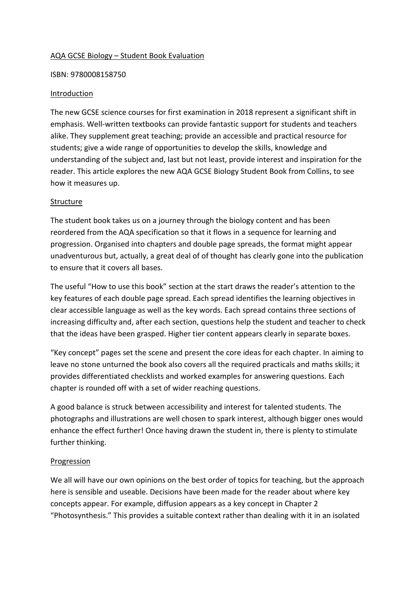## AQA GCSE Biology – Student Book Evaluation

#### ISBN: 9780008158750

#### Introduction

The new GCSE science courses for first examination in 2018 represent a significant shift in emphasis. Well-written textbooks can provide fantastic support for students and teachers alike. They supplement great teaching; provide an accessible and practical resource for students; give a wide range of opportunities to develop the skills, knowledge and understanding of the subject and, last but not least, provide interest and inspiration for the reader. This article explores the new AQA GCSE Biology Student Book from Collins, to see how it measures up.

### Structure

The student book takes us on a journey through the biology content and has been reordered from the AQA specification so that it flows in a sequence for learning and progression. Organised into chapters and double page spreads, the format might appear unadventurous but, actually, a great deal of of thought has clearly gone into the publication to ensure that it covers all bases.

The useful "How to use this book" section at the start draws the reader's attention to the key features of each double page spread. Each spread identifies the learning objectives in clear accessible language as well as the key words. Each spread contains three sections of increasing difficulty and, after each section, questions help the student and teacher to check that the ideas have been grasped. Higher tier content appears clearly in separate boxes.

"Key concept" pages set the scene and present the core ideas for each chapter. In aiming to leave no stone unturned the book also covers all the required practicals and maths skills; it provides differentiated checklists and worked examples for answering questions. Each chapter is rounded off with a set of wider reaching questions.

A good balance is struck between accessibility and interest for talented students. The photographs and illustrations are well chosen to spark interest, although bigger ones would enhance the effect further! Once having drawn the student in, there is plenty to stimulate further thinking.

### Progression

We all will have our own opinions on the best order of topics for teaching, but the approach here is sensible and useable. Decisions have been made for the reader about where key concepts appear. For example, diffusion appears as a key concept in Chapter 2 "Photosynthesis." This provides a suitable context rather than dealing with it in an isolated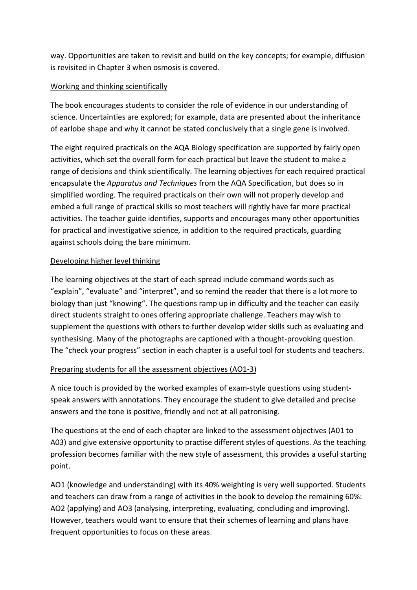way. Opportunities are taken to revisit and build on the key concepts; for example, diffusion is revisited in Chapter 3 when osmosis is covered.

# Working and thinking scientifically

The book encourages students to consider the role of evidence in our understanding of science. Uncertainties are explored; for example, data are presented about the inheritance of earlobe shape and why it cannot be stated conclusively that a single gene is involved.

The eight required practicals on the AQA Biology specification are supported by fairly open activities, which set the overall form for each practical but leave the student to make a range of decisions and think scientifically. The learning objectives for each required practical encapsulate the *Apparatus and Techniques* from the AQA Specification, but does so in simplified wording. The required practicals on their own will not properly develop and embed a full range of practical skills so most teachers will rightly have far more practical activities. The teacher guide identifies, supports and encourages many other opportunities for practical and investigative science, in addition to the required practicals, guarding against schools doing the bare minimum.

## Developing higher level thinking

The learning objectives at the start of each spread include command words such as "explain", "evaluate" and "interpret", and so remind the reader that there is a lot more to biology than just "knowing". The questions ramp up in difficulty and the teacher can easily direct students straight to ones offering appropriate challenge. Teachers may wish to supplement the questions with others to further develop wider skills such as evaluating and synthesising. Many of the photographs are captioned with a thought-provoking question. The "check your progress" section in each chapter is a useful tool for students and teachers.

# Preparing students for all the assessment objectives (AO1-3)

A nice touch is provided by the worked examples of exam-style questions using studentspeak answers with annotations. They encourage the student to give detailed and precise answers and the tone is positive, friendly and not at all patronising.

The questions at the end of each chapter are linked to the assessment objectives (A01 to A03) and give extensive opportunity to practise different styles of questions. As the teaching profession becomes familiar with the new style of assessment, this provides a useful starting point.

AO1 (knowledge and understanding) with its 40% weighting is very well supported. Students and teachers can draw from a range of activities in the book to develop the remaining 60%: AO2 (applying) and AO3 (analysing, interpreting, evaluating, concluding and improving). However, teachers would want to ensure that their schemes of learning and plans have frequent opportunities to focus on these areas.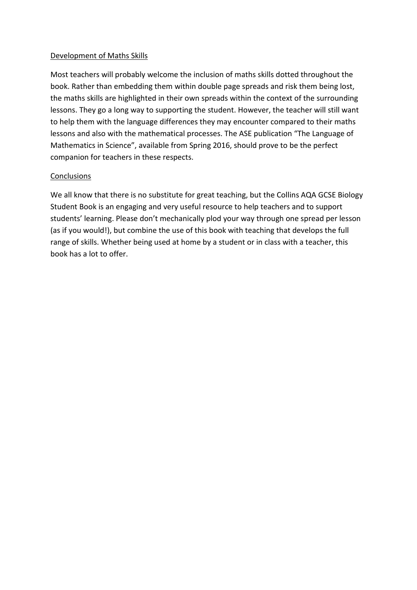# Development of Maths Skills

Most teachers will probably welcome the inclusion of maths skills dotted throughout the book. Rather than embedding them within double page spreads and risk them being lost, the maths skills are highlighted in their own spreads within the context of the surrounding lessons. They go a long way to supporting the student. However, the teacher will still want to help them with the language differences they may encounter compared to their maths lessons and also with the mathematical processes. The ASE publication "The Language of Mathematics in Science", available from Spring 2016, should prove to be the perfect companion for teachers in these respects.

## **Conclusions**

We all know that there is no substitute for great teaching, but the Collins AQA GCSE Biology Student Book is an engaging and very useful resource to help teachers and to support students' learning. Please don't mechanically plod your way through one spread per lesson (as if you would!), but combine the use of this book with teaching that develops the full range of skills. Whether being used at home by a student or in class with a teacher, this book has a lot to offer.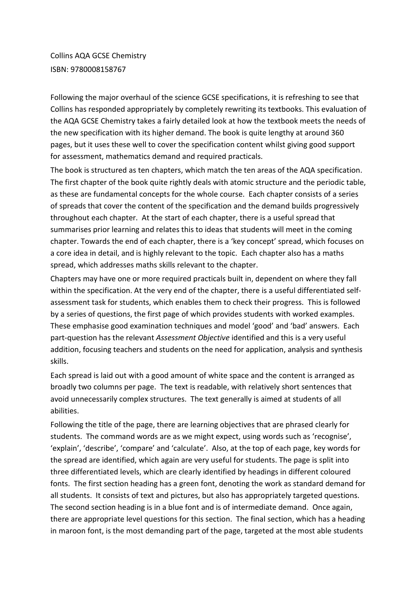Collins AQA GCSE Chemistry ISBN: 9780008158767

Following the major overhaul of the science GCSE specifications, it is refreshing to see that Collins has responded appropriately by completely rewriting its textbooks. This evaluation of the AQA GCSE Chemistry takes a fairly detailed look at how the textbook meets the needs of the new specification with its higher demand. The book is quite lengthy at around 360 pages, but it uses these well to cover the specification content whilst giving good support for assessment, mathematics demand and required practicals.

The book is structured as ten chapters, which match the ten areas of the AQA specification. The first chapter of the book quite rightly deals with atomic structure and the periodic table, as these are fundamental concepts for the whole course. Each chapter consists of a series of spreads that cover the content of the specification and the demand builds progressively throughout each chapter. At the start of each chapter, there is a useful spread that summarises prior learning and relates this to ideas that students will meet in the coming chapter. Towards the end of each chapter, there is a 'key concept' spread, which focuses on a core idea in detail, and is highly relevant to the topic. Each chapter also has a maths spread, which addresses maths skills relevant to the chapter.

Chapters may have one or more required practicals built in, dependent on where they fall within the specification. At the very end of the chapter, there is a useful differentiated selfassessment task for students, which enables them to check their progress. This is followed by a series of questions, the first page of which provides students with worked examples. These emphasise good examination techniques and model 'good' and 'bad' answers. Each part-question has the relevant *Assessment Objective* identified and this is a very useful addition, focusing teachers and students on the need for application, analysis and synthesis skills.

Each spread is laid out with a good amount of white space and the content is arranged as broadly two columns per page. The text is readable, with relatively short sentences that avoid unnecessarily complex structures. The text generally is aimed at students of all abilities.

Following the title of the page, there are learning objectives that are phrased clearly for students. The command words are as we might expect, using words such as 'recognise', 'explain', 'describe', 'compare' and 'calculate'. Also, at the top of each page, key words for the spread are identified, which again are very useful for students. The page is split into three differentiated levels, which are clearly identified by headings in different coloured fonts. The first section heading has a green font, denoting the work as standard demand for all students. It consists of text and pictures, but also has appropriately targeted questions. The second section heading is in a blue font and is of intermediate demand. Once again, there are appropriate level questions for this section. The final section, which has a heading in maroon font, is the most demanding part of the page, targeted at the most able students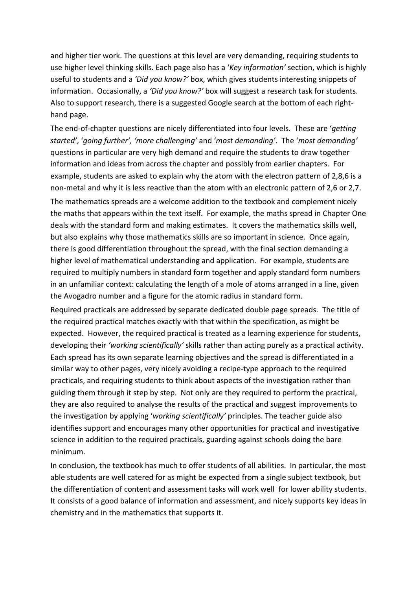and higher tier work. The questions at this level are very demanding, requiring students to use higher level thinking skills. Each page also has a '*Key information'* section, which is highly useful to students and a *'Did you know?'* box, which gives students interesting snippets of information. Occasionally, a *'Did you know?'* box will suggest a research task for students. Also to support research, there is a suggested Google search at the bottom of each righthand page.

The end-of-chapter questions are nicely differentiated into four levels. These are '*getting started'*, '*going further', 'more challenging'* and '*most demanding'*. The '*most demanding'* questions in particular are very high demand and require the students to draw together information and ideas from across the chapter and possibly from earlier chapters. For example, students are asked to explain why the atom with the electron pattern of 2,8,6 is a non-metal and why it is less reactive than the atom with an electronic pattern of 2,6 or 2,7.

The mathematics spreads are a welcome addition to the textbook and complement nicely the maths that appears within the text itself. For example, the maths spread in Chapter One deals with the standard form and making estimates. It covers the mathematics skills well, but also explains why those mathematics skills are so important in science. Once again, there is good differentiation throughout the spread, with the final section demanding a higher level of mathematical understanding and application. For example, students are required to multiply numbers in standard form together and apply standard form numbers in an unfamiliar context: calculating the length of a mole of atoms arranged in a line, given the Avogadro number and a figure for the atomic radius in standard form.

Required practicals are addressed by separate dedicated double page spreads. The title of the required practical matches exactly with that within the specification, as might be expected. However, the required practical is treated as a learning experience for students, developing their *'working scientifically'* skills rather than acting purely as a practical activity. Each spread has its own separate learning objectives and the spread is differentiated in a similar way to other pages, very nicely avoiding a recipe-type approach to the required practicals, and requiring students to think about aspects of the investigation rather than guiding them through it step by step. Not only are they required to perform the practical, they are also required to analyse the results of the practical and suggest improvements to the investigation by applying '*working scientifically'* principles. The teacher guide also identifies support and encourages many other opportunities for practical and investigative science in addition to the required practicals, guarding against schools doing the bare minimum.

In conclusion, the textbook has much to offer students of all abilities. In particular, the most able students are well catered for as might be expected from a single subject textbook, but the differentiation of content and assessment tasks will work well for lower ability students. It consists of a good balance of information and assessment, and nicely supports key ideas in chemistry and in the mathematics that supports it.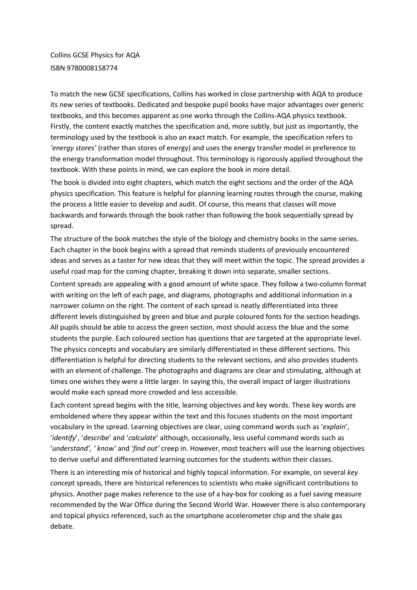Collins GCSE Physics for AQA ISBN 9780008158774

To match the new GCSE specifications, Collins has worked in close partnership with AQA to produce its new series of textbooks. Dedicated and bespoke pupil books have major advantages over generic textbooks, and this becomes apparent as one works through the Collins-AQA physics textbook. Firstly, the content exactly matches the specification and, more subtly, but just as importantly, the terminology used by the textbook is also an exact match. For example, the specification refers to '*energy stores'* (rather than stores of energy) and uses the energy transfer model in preference to the energy transformation model throughout. This terminology is rigorously applied throughout the textbook. With these points in mind, we can explore the book in more detail.

The book is divided into eight chapters, which match the eight sections and the order of the AQA physics specification. This feature is helpful for planning learning routes through the course, making the process a little easier to develop and audit. Of course, this means that classes will move backwards and forwards through the book rather than following the book sequentially spread by spread.

The structure of the book matches the style of the biology and chemistry books in the same series. Each chapter in the book begins with a spread that reminds students of previously encountered ideas and serves as a taster for new ideas that they will meet within the topic. The spread provides a useful road map for the coming chapter, breaking it down into separate, smaller sections.

Content spreads are appealing with a good amount of white space. They follow a two-column format with writing on the left of each page, and diagrams, photographs and additional information in a narrower column on the right. The content of each spread is neatly differentiated into three different levels distinguished by green and blue and purple coloured fonts for the section headings. All pupils should be able to access the green section, most should access the blue and the some students the purple. Each coloured section has questions that are targeted at the appropriate level. The physics concepts and vocabulary are similarly differentiated in these different sections. This differentiation is helpful for directing students to the relevant sections, and also provides students with an element of challenge. The photographs and diagrams are clear and stimulating, although at times one wishes they were a little larger. In saying this, the overall impact of larger illustrations would make each spread more crowded and less accessible.

Each content spread begins with the title, learning objectives and key words. These key words are emboldened where they appear within the text and this focuses students on the most important vocabulary in the spread. Learning objectives are clear, using command words such as '*explain*', '*identify*', '*describe*' and '*calculate*' although, occasionally, less useful command words such as '*understand', ' know'* and '*find out'* creep in. However, most teachers will use the learning objectives to derive useful and differentiated learning outcomes for the students within their classes.

There is an interesting mix of historical and highly topical information. For example, on several *key concept* spreads, there are historical references to scientists who make significant contributions to physics. Another page makes reference to the use of a hay-box for cooking as a fuel saving measure recommended by the War Office during the Second World War. However there is also contemporary and topical physics referenced, such as the smartphone accelerometer chip and the shale gas debate.